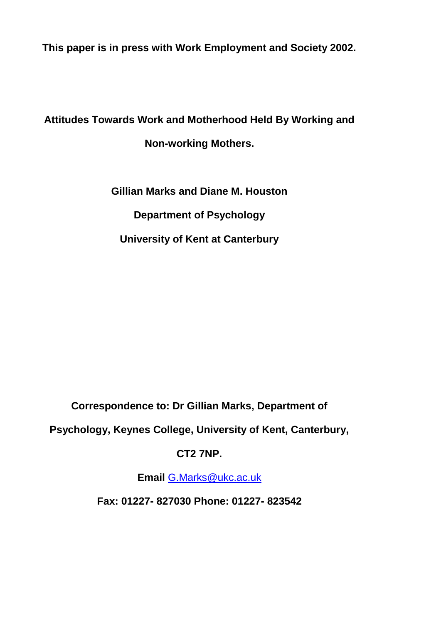**This paper is in press with Work Employment and Society 2002.**

# **Attitudes Towards Work and Motherhood Held By Working and Non-working Mothers.**

**Gillian Marks and Diane M. Houston Department of Psychology University of Kent at Canterbury**

**Correspondence to: Dr Gillian Marks, Department of** 

**Psychology, Keynes College, University of Kent, Canterbury,** 

### **CT2 7NP.**

**Email** [G.Marks@ukc.ac.uk](mailto:G.Marks@ukc.ac.uk)

**Fax: 01227- 827030 Phone: 01227- 823542**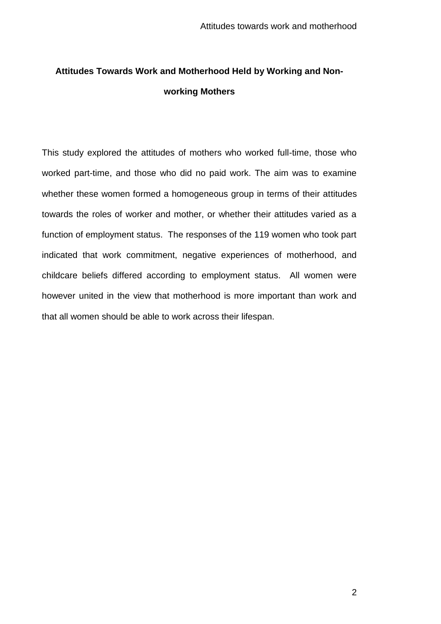## **Attitudes Towards Work and Motherhood Held by Working and Nonworking Mothers**

This study explored the attitudes of mothers who worked full-time, those who worked part-time, and those who did no paid work. The aim was to examine whether these women formed a homogeneous group in terms of their attitudes towards the roles of worker and mother, or whether their attitudes varied as a function of employment status. The responses of the 119 women who took part indicated that work commitment, negative experiences of motherhood, and childcare beliefs differed according to employment status. All women were however united in the view that motherhood is more important than work and that all women should be able to work across their lifespan.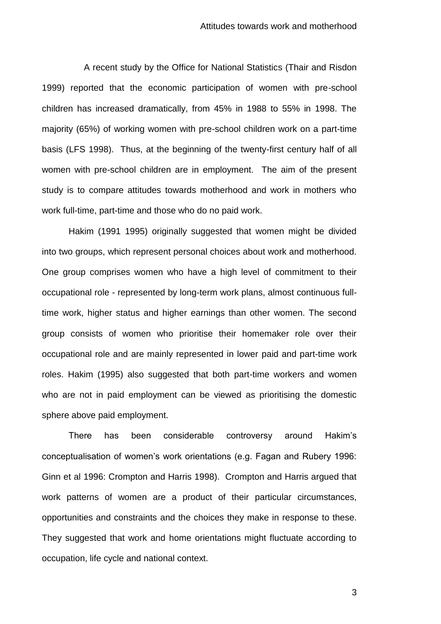A recent study by the Office for National Statistics (Thair and Risdon 1999) reported that the economic participation of women with pre-school children has increased dramatically, from 45% in 1988 to 55% in 1998. The majority (65%) of working women with pre-school children work on a part-time basis (LFS 1998). Thus, at the beginning of the twenty-first century half of all women with pre-school children are in employment. The aim of the present study is to compare attitudes towards motherhood and work in mothers who work full-time, part-time and those who do no paid work.

Hakim (1991 1995) originally suggested that women might be divided into two groups, which represent personal choices about work and motherhood. One group comprises women who have a high level of commitment to their occupational role - represented by long-term work plans, almost continuous fulltime work, higher status and higher earnings than other women. The second group consists of women who prioritise their homemaker role over their occupational role and are mainly represented in lower paid and part-time work roles. Hakim (1995) also suggested that both part-time workers and women who are not in paid employment can be viewed as prioritising the domestic sphere above paid employment.

There has been considerable controversy around Hakim's conceptualisation of women's work orientations (e.g. Fagan and Rubery 1996: Ginn et al 1996: Crompton and Harris 1998). Crompton and Harris argued that work patterns of women are a product of their particular circumstances, opportunities and constraints and the choices they make in response to these. They suggested that work and home orientations might fluctuate according to occupation, life cycle and national context.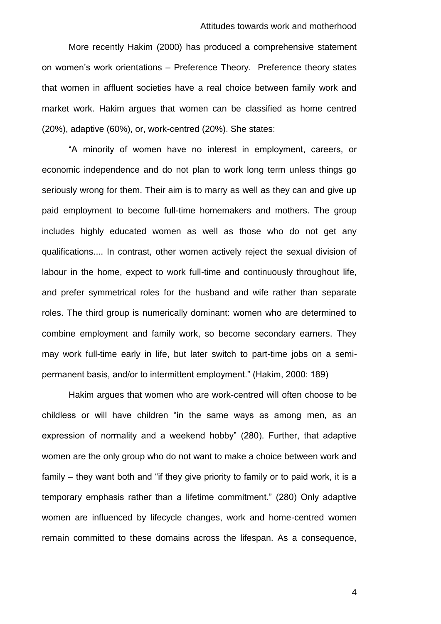More recently Hakim (2000) has produced a comprehensive statement on women's work orientations – Preference Theory. Preference theory states that women in affluent societies have a real choice between family work and market work. Hakim argues that women can be classified as home centred (20%), adaptive (60%), or, work-centred (20%). She states:

"A minority of women have no interest in employment, careers, or economic independence and do not plan to work long term unless things go seriously wrong for them. Their aim is to marry as well as they can and give up paid employment to become full-time homemakers and mothers. The group includes highly educated women as well as those who do not get any qualifications.... In contrast, other women actively reject the sexual division of labour in the home, expect to work full-time and continuously throughout life, and prefer symmetrical roles for the husband and wife rather than separate roles. The third group is numerically dominant: women who are determined to combine employment and family work, so become secondary earners. They may work full-time early in life, but later switch to part-time jobs on a semipermanent basis, and/or to intermittent employment." (Hakim, 2000: 189)

Hakim argues that women who are work-centred will often choose to be childless or will have children "in the same ways as among men, as an expression of normality and a weekend hobby" (280). Further, that adaptive women are the only group who do not want to make a choice between work and family – they want both and "if they give priority to family or to paid work, it is a temporary emphasis rather than a lifetime commitment." (280) Only adaptive women are influenced by lifecycle changes, work and home-centred women remain committed to these domains across the lifespan. As a consequence,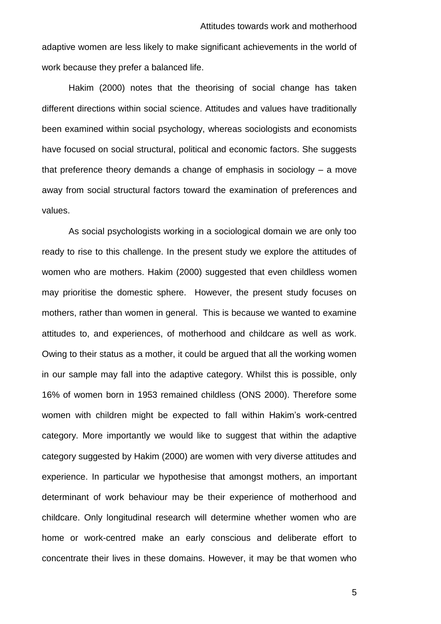adaptive women are less likely to make significant achievements in the world of work because they prefer a balanced life.

Hakim (2000) notes that the theorising of social change has taken different directions within social science. Attitudes and values have traditionally been examined within social psychology, whereas sociologists and economists have focused on social structural, political and economic factors. She suggests that preference theory demands a change of emphasis in sociology – a move away from social structural factors toward the examination of preferences and values.

As social psychologists working in a sociological domain we are only too ready to rise to this challenge. In the present study we explore the attitudes of women who are mothers. Hakim (2000) suggested that even childless women may prioritise the domestic sphere. However, the present study focuses on mothers, rather than women in general. This is because we wanted to examine attitudes to, and experiences, of motherhood and childcare as well as work. Owing to their status as a mother, it could be argued that all the working women in our sample may fall into the adaptive category. Whilst this is possible, only 16% of women born in 1953 remained childless (ONS 2000). Therefore some women with children might be expected to fall within Hakim's work-centred category. More importantly we would like to suggest that within the adaptive category suggested by Hakim (2000) are women with very diverse attitudes and experience. In particular we hypothesise that amongst mothers, an important determinant of work behaviour may be their experience of motherhood and childcare. Only longitudinal research will determine whether women who are home or work-centred make an early conscious and deliberate effort to concentrate their lives in these domains. However, it may be that women who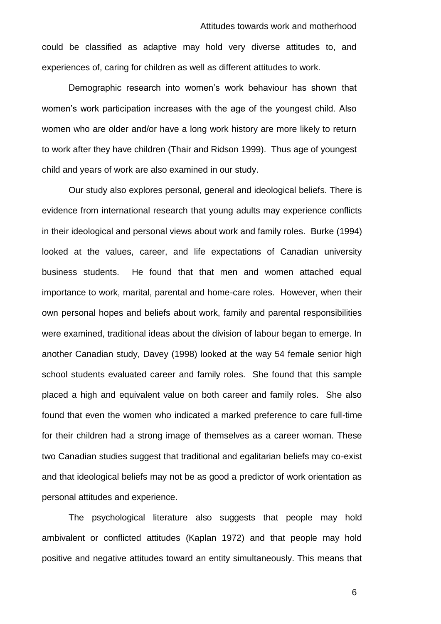could be classified as adaptive may hold very diverse attitudes to, and experiences of, caring for children as well as different attitudes to work.

Demographic research into women's work behaviour has shown that women's work participation increases with the age of the youngest child. Also women who are older and/or have a long work history are more likely to return to work after they have children (Thair and Ridson 1999). Thus age of youngest child and years of work are also examined in our study.

Our study also explores personal, general and ideological beliefs. There is evidence from international research that young adults may experience conflicts in their ideological and personal views about work and family roles. Burke (1994) looked at the values, career, and life expectations of Canadian university business students. He found that that men and women attached equal importance to work, marital, parental and home-care roles. However, when their own personal hopes and beliefs about work, family and parental responsibilities were examined, traditional ideas about the division of labour began to emerge. In another Canadian study, Davey (1998) looked at the way 54 female senior high school students evaluated career and family roles. She found that this sample placed a high and equivalent value on both career and family roles. She also found that even the women who indicated a marked preference to care full-time for their children had a strong image of themselves as a career woman. These two Canadian studies suggest that traditional and egalitarian beliefs may co-exist and that ideological beliefs may not be as good a predictor of work orientation as personal attitudes and experience.

The psychological literature also suggests that people may hold ambivalent or conflicted attitudes (Kaplan 1972) and that people may hold positive and negative attitudes toward an entity simultaneously. This means that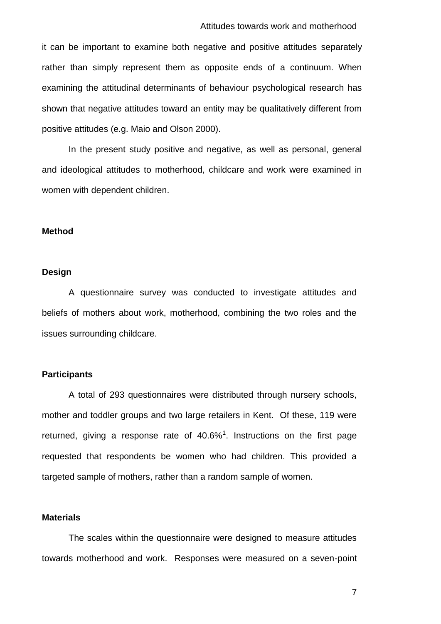#### Attitudes towards work and motherhood

it can be important to examine both negative and positive attitudes separately rather than simply represent them as opposite ends of a continuum. When examining the attitudinal determinants of behaviour psychological research has shown that negative attitudes toward an entity may be qualitatively different from positive attitudes (e.g. Maio and Olson 2000).

In the present study positive and negative, as well as personal, general and ideological attitudes to motherhood, childcare and work were examined in women with dependent children.

#### **Method**

#### **Design**

A questionnaire survey was conducted to investigate attitudes and beliefs of mothers about work, motherhood, combining the two roles and the issues surrounding childcare.

#### **Participants**

A total of 293 questionnaires were distributed through nursery schools, mother and toddler groups and two large retailers in Kent. Of these, 119 were returned, giving a response rate of  $40.6\%$ <sup>1</sup>. Instructions on the first page requested that respondents be women who had children. This provided a targeted sample of mothers, rather than a random sample of women.

#### **Materials**

The scales within the questionnaire were designed to measure attitudes towards motherhood and work. Responses were measured on a seven-point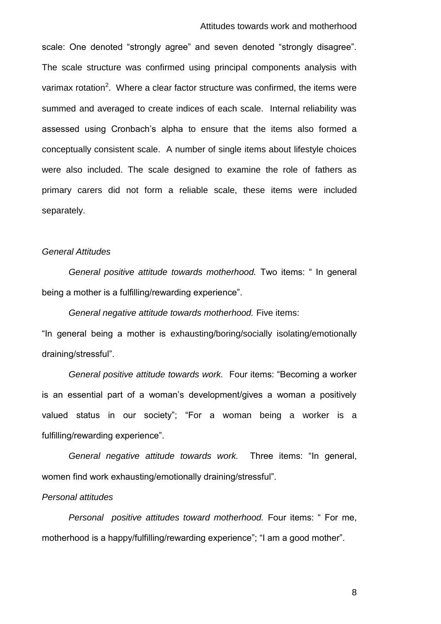scale: One denoted "strongly agree" and seven denoted "strongly disagree". The scale structure was confirmed using principal components analysis with varimax rotation<sup>2</sup>. Where a clear factor structure was confirmed, the items were summed and averaged to create indices of each scale. Internal reliability was assessed using Cronbach's alpha to ensure that the items also formed a conceptually consistent scale. A number of single items about lifestyle choices were also included. The scale designed to examine the role of fathers as primary carers did not form a reliable scale, these items were included separately.

#### *General Attitudes*

*General positive attitude towards motherhood.* Two items: " In general being a mother is a fulfilling/rewarding experience".

*General negative attitude towards motherhood.* Five items:

"In general being a mother is exhausting/boring/socially isolating/emotionally draining/stressful".

*General positive attitude towards work.* Four items: "Becoming a worker is an essential part of a woman's development/gives a woman a positively valued status in our society"; "For a woman being a worker is a fulfilling/rewarding experience".

*General negative attitude towards work.* Three items: "In general, women find work exhausting/emotionally draining/stressful".

#### *Personal attitudes*

*Personal positive attitudes toward motherhood.* Four items: " For me, motherhood is a happy/fulfilling/rewarding experience"; "I am a good mother".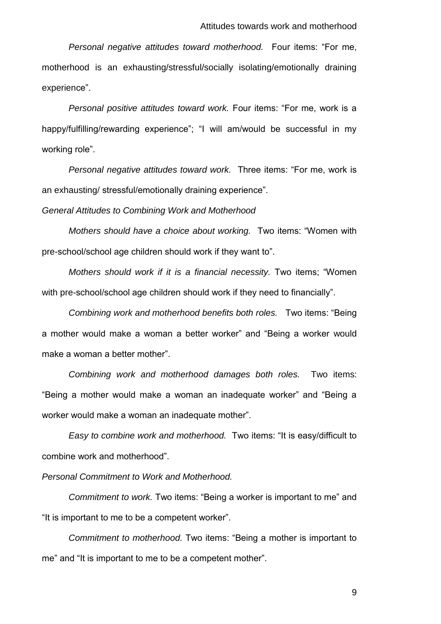*Personal negative attitudes toward motherhood.* Four items: "For me, motherhood is an exhausting/stressful/socially isolating/emotionally draining experience".

*Personal positive attitudes toward work.* Four items: "For me, work is a happy/fulfilling/rewarding experience"; "I will am/would be successful in my working role".

*Personal negative attitudes toward work.* Three items: "For me, work is an exhausting/ stressful/emotionally draining experience".

*General Attitudes to Combining Work and Motherhood*

*Mothers should have a choice about working.* Two items: "Women with pre-school/school age children should work if they want to".

*Mothers should work if it is a financial necessity.* Two items; "Women with pre-school/school age children should work if they need to financially".

*Combining work and motherhood benefits both roles.* Two items: "Being a mother would make a woman a better worker" and "Being a worker would make a woman a better mother".

*Combining work and motherhood damages both roles.* Two items: "Being a mother would make a woman an inadequate worker" and "Being a worker would make a woman an inadequate mother".

*Easy to combine work and motherhood.* Two items: "It is easy/difficult to combine work and motherhood".

*Personal Commitment to Work and Motherhood.*

*Commitment to work.* Two items: "Being a worker is important to me" and "It is important to me to be a competent worker".

*Commitment to motherhood.* Two items: "Being a mother is important to me" and "It is important to me to be a competent mother".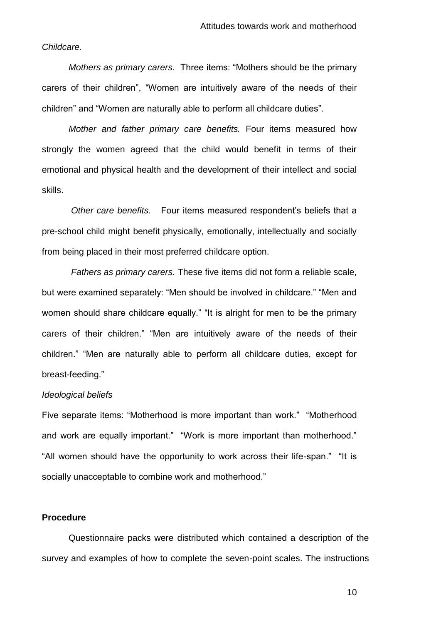#### *Childcare.*

*Mothers as primary carers.* Three items: "Mothers should be the primary carers of their children", "Women are intuitively aware of the needs of their children" and "Women are naturally able to perform all childcare duties".

*Mother and father primary care benefits.* Four items measured how strongly the women agreed that the child would benefit in terms of their emotional and physical health and the development of their intellect and social skills.

*Other care benefits.* Four items measured respondent's beliefs that a pre-school child might benefit physically, emotionally, intellectually and socially from being placed in their most preferred childcare option.

*Fathers as primary carers.* These five items did not form a reliable scale, but were examined separately: "Men should be involved in childcare." "Men and women should share childcare equally." "It is alright for men to be the primary carers of their children." "Men are intuitively aware of the needs of their children." "Men are naturally able to perform all childcare duties, except for breast-feeding."

#### *Ideological beliefs*

Five separate items: "Motherhood is more important than work." "Motherhood and work are equally important." "Work is more important than motherhood." "All women should have the opportunity to work across their life-span." "It is socially unacceptable to combine work and motherhood."

#### **Procedure**

Questionnaire packs were distributed which contained a description of the survey and examples of how to complete the seven-point scales. The instructions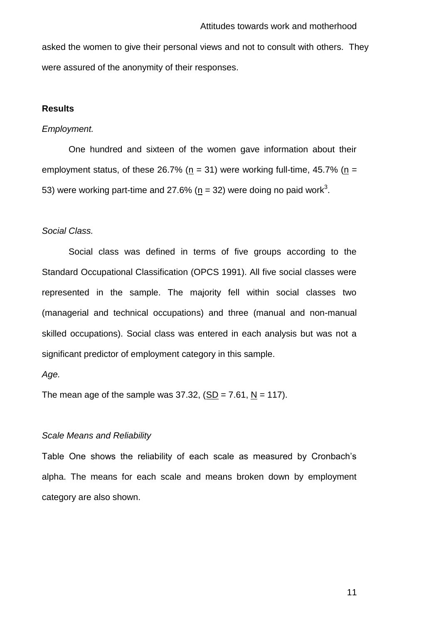asked the women to give their personal views and not to consult with others. They were assured of the anonymity of their responses.

#### **Results**

#### *Employment.*

One hundred and sixteen of the women gave information about their employment status, of these 26.7% ( $n = 31$ ) were working full-time, 45.7% ( $n =$ 53) were working part-time and 27.6% ( $\underline{n}$  = 32) were doing no paid work<sup>3</sup>.

#### *Social Class.*

Social class was defined in terms of five groups according to the Standard Occupational Classification (OPCS 1991). All five social classes were represented in the sample. The majority fell within social classes two (managerial and technical occupations) and three (manual and non-manual skilled occupations). Social class was entered in each analysis but was not a significant predictor of employment category in this sample.

#### *Age.*

The mean age of the sample was  $37.32$ ,  $(SD = 7.61, N = 117)$ .

#### *Scale Means and Reliability*

Table One shows the reliability of each scale as measured by Cronbach's alpha. The means for each scale and means broken down by employment category are also shown.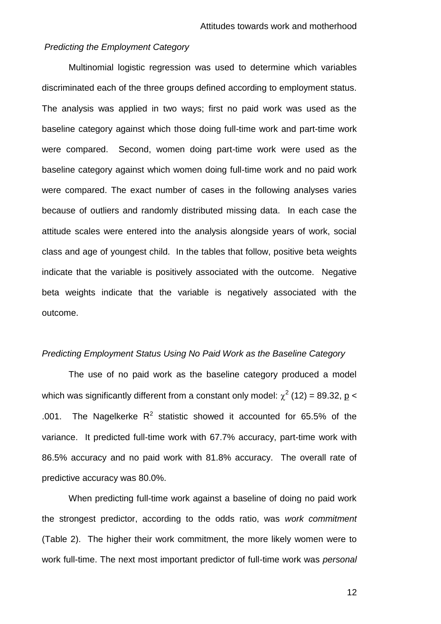#### *Predicting the Employment Category*

Multinomial logistic regression was used to determine which variables discriminated each of the three groups defined according to employment status. The analysis was applied in two ways; first no paid work was used as the baseline category against which those doing full-time work and part-time work were compared. Second, women doing part-time work were used as the baseline category against which women doing full-time work and no paid work were compared. The exact number of cases in the following analyses varies because of outliers and randomly distributed missing data. In each case the attitude scales were entered into the analysis alongside years of work, social class and age of youngest child.In the tables that follow, positive beta weights indicate that the variable is positively associated with the outcome. Negative beta weights indicate that the variable is negatively associated with the outcome.

#### *Predicting Employment Status Using No Paid Work as the Baseline Category*

The use of no paid work as the baseline category produced a model which was significantly different from a constant only model:  $\chi^2$  (12) = 89.32, <u>p</u> < .001. The Nagelkerke  $R^2$  statistic showed it accounted for 65.5% of the variance. It predicted full-time work with 67.7% accuracy, part-time work with 86.5% accuracy and no paid work with 81.8% accuracy. The overall rate of predictive accuracy was 80.0%.

When predicting full-time work against a baseline of doing no paid work the strongest predictor, according to the odds ratio, was *work commitment* (Table 2). The higher their work commitment, the more likely women were to work full-time. The next most important predictor of full-time work was *personal*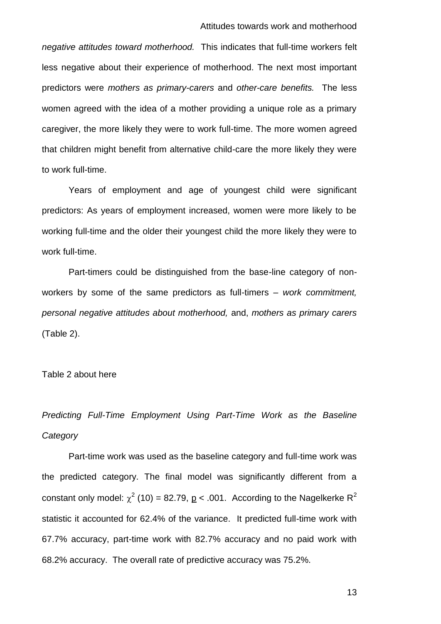*negative attitudes toward motherhood.* This indicates that full-time workers felt less negative about their experience of motherhood. The next most important predictors were *mothers as primary*-*carers* and *other-care benefits.* The less women agreed with the idea of a mother providing a unique role as a primary caregiver, the more likely they were to work full-time. The more women agreed that children might benefit from alternative child-care the more likely they were to work full-time.

Years of employment and age of youngest child were significant predictors: As years of employment increased, women were more likely to be working full-time and the older their youngest child the more likely they were to work full-time.

Part-timers could be distinguished from the base-line category of nonworkers by some of the same predictors as full-timers – *work commitment, personal negative attitudes about motherhood,* and, *mothers as primary carers* (Table 2).

Table 2 about here

*Predicting Full-Time Employment Using Part-Time Work as the Baseline Category*

Part-time work was used as the baseline category and full-time work was the predicted category. The final model was significantly different from a constant only model:  $\chi^2$  (10) = 82.79, <u>p</u> < .001. According to the Nagelkerke R<sup>2</sup> statistic it accounted for 62.4% of the variance. It predicted full-time work with 67.7% accuracy, part-time work with 82.7% accuracy and no paid work with 68.2% accuracy. The overall rate of predictive accuracy was 75.2%.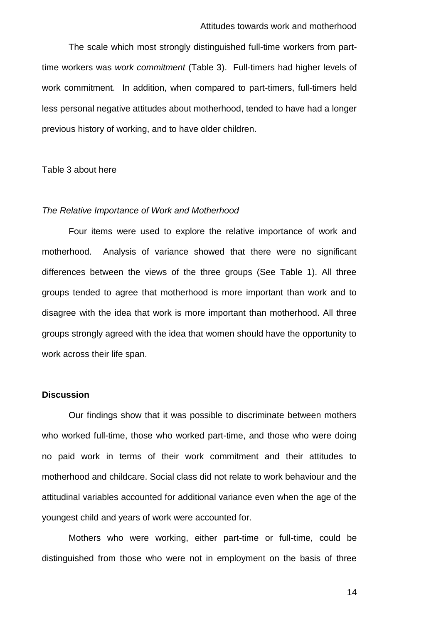The scale which most strongly distinguished full-time workers from parttime workers was *work commitment* (Table 3). Full-timers had higher levels of work commitment. In addition, when compared to part-timers, full-timers held less personal negative attitudes about motherhood, tended to have had a longer previous history of working, and to have older children.

#### Table 3 about here

#### *The Relative Importance of Work and Motherhood*

Four items were used to explore the relative importance of work and motherhood. Analysis of variance showed that there were no significant differences between the views of the three groups (See Table 1). All three groups tended to agree that motherhood is more important than work and to disagree with the idea that work is more important than motherhood. All three groups strongly agreed with the idea that women should have the opportunity to work across their life span.

#### **Discussion**

Our findings show that it was possible to discriminate between mothers who worked full-time, those who worked part-time, and those who were doing no paid work in terms of their work commitment and their attitudes to motherhood and childcare. Social class did not relate to work behaviour and the attitudinal variables accounted for additional variance even when the age of the youngest child and years of work were accounted for.

Mothers who were working, either part-time or full-time, could be distinguished from those who were not in employment on the basis of three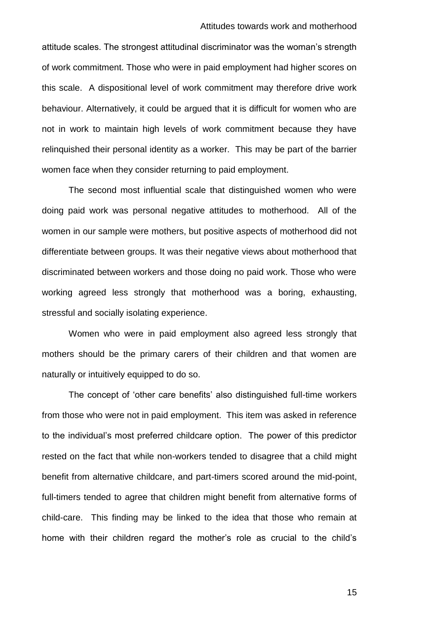attitude scales. The strongest attitudinal discriminator was the woman's strength of work commitment. Those who were in paid employment had higher scores on this scale. A dispositional level of work commitment may therefore drive work behaviour. Alternatively, it could be argued that it is difficult for women who are not in work to maintain high levels of work commitment because they have relinquished their personal identity as a worker. This may be part of the barrier women face when they consider returning to paid employment.

The second most influential scale that distinguished women who were doing paid work was personal negative attitudes to motherhood. All of the women in our sample were mothers, but positive aspects of motherhood did not differentiate between groups. It was their negative views about motherhood that discriminated between workers and those doing no paid work. Those who were working agreed less strongly that motherhood was a boring, exhausting, stressful and socially isolating experience.

Women who were in paid employment also agreed less strongly that mothers should be the primary carers of their children and that women are naturally or intuitively equipped to do so.

The concept of 'other care benefits' also distinguished full-time workers from those who were not in paid employment. This item was asked in reference to the individual's most preferred childcare option. The power of this predictor rested on the fact that while non-workers tended to disagree that a child might benefit from alternative childcare, and part-timers scored around the mid-point, full-timers tended to agree that children might benefit from alternative forms of child-care. This finding may be linked to the idea that those who remain at home with their children regard the mother's role as crucial to the child's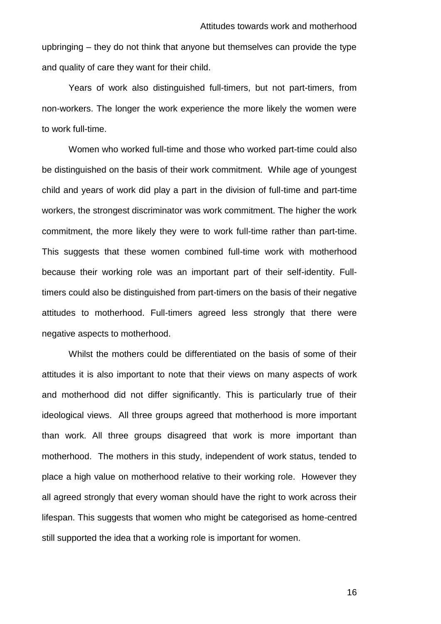upbringing – they do not think that anyone but themselves can provide the type and quality of care they want for their child.

Years of work also distinguished full-timers, but not part-timers, from non-workers. The longer the work experience the more likely the women were to work full-time.

Women who worked full-time and those who worked part-time could also be distinguished on the basis of their work commitment. While age of youngest child and years of work did play a part in the division of full-time and part-time workers, the strongest discriminator was work commitment. The higher the work commitment, the more likely they were to work full-time rather than part-time. This suggests that these women combined full-time work with motherhood because their working role was an important part of their self-identity. Fulltimers could also be distinguished from part-timers on the basis of their negative attitudes to motherhood. Full-timers agreed less strongly that there were negative aspects to motherhood.

Whilst the mothers could be differentiated on the basis of some of their attitudes it is also important to note that their views on many aspects of work and motherhood did not differ significantly. This is particularly true of their ideological views. All three groups agreed that motherhood is more important than work. All three groups disagreed that work is more important than motherhood. The mothers in this study, independent of work status, tended to place a high value on motherhood relative to their working role. However they all agreed strongly that every woman should have the right to work across their lifespan. This suggests that women who might be categorised as home-centred still supported the idea that a working role is important for women.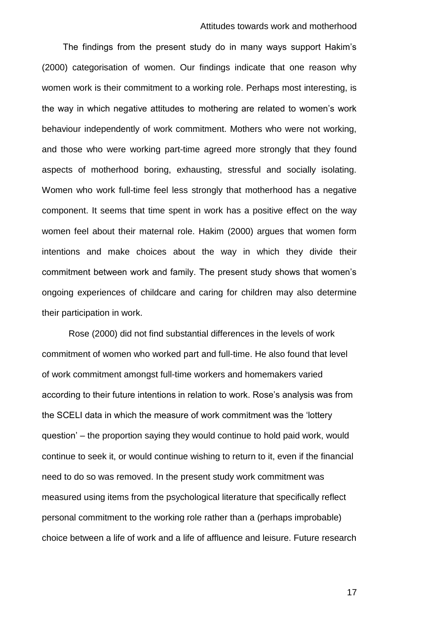#### Attitudes towards work and motherhood

The findings from the present study do in many ways support Hakim's (2000) categorisation of women. Our findings indicate that one reason why women work is their commitment to a working role. Perhaps most interesting, is the way in which negative attitudes to mothering are related to women's work behaviour independently of work commitment. Mothers who were not working, and those who were working part-time agreed more strongly that they found aspects of motherhood boring, exhausting, stressful and socially isolating. Women who work full-time feel less strongly that motherhood has a negative component. It seems that time spent in work has a positive effect on the way women feel about their maternal role. Hakim (2000) argues that women form intentions and make choices about the way in which they divide their commitment between work and family. The present study shows that women's ongoing experiences of childcare and caring for children may also determine their participation in work.

Rose (2000) did not find substantial differences in the levels of work commitment of women who worked part and full-time. He also found that level of work commitment amongst full-time workers and homemakers varied according to their future intentions in relation to work. Rose's analysis was from the SCELI data in which the measure of work commitment was the 'lottery question' – the proportion saying they would continue to hold paid work, would continue to seek it, or would continue wishing to return to it, even if the financial need to do so was removed. In the present study work commitment was measured using items from the psychological literature that specifically reflect personal commitment to the working role rather than a (perhaps improbable) choice between a life of work and a life of affluence and leisure. Future research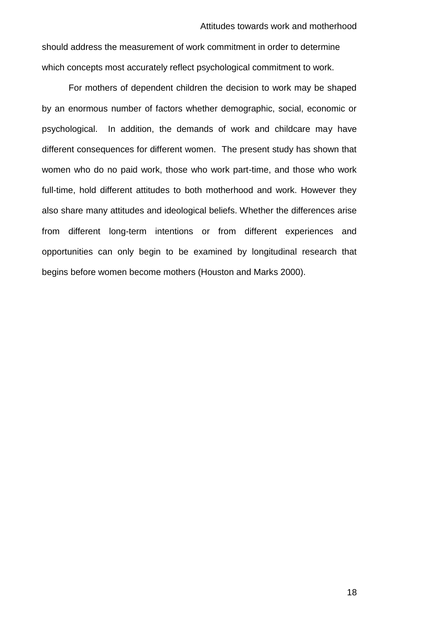should address the measurement of work commitment in order to determine which concepts most accurately reflect psychological commitment to work.

For mothers of dependent children the decision to work may be shaped by an enormous number of factors whether demographic, social, economic or psychological. In addition, the demands of work and childcare may have different consequences for different women. The present study has shown that women who do no paid work, those who work part-time, and those who work full-time, hold different attitudes to both motherhood and work. However they also share many attitudes and ideological beliefs. Whether the differences arise from different long-term intentions or from different experiences and opportunities can only begin to be examined by longitudinal research that begins before women become mothers (Houston and Marks 2000).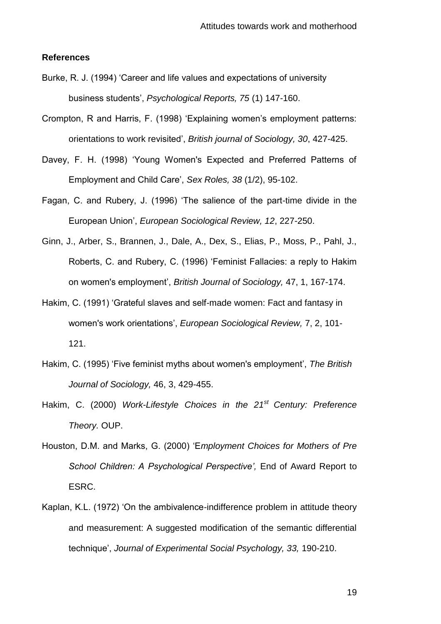#### **References**

- Burke, R. J. (1994) 'Career and life values and expectations of university business students', *Psychological Reports, 75* (1) 147-160.
- Crompton, R and Harris, F. (1998) 'Explaining women's employment patterns: orientations to work revisited', *British journal of Sociology, 30*, 427-425.
- Davey, F. H. (1998) 'Young Women's Expected and Preferred Patterns of Employment and Child Care', *Sex Roles, 38* (1/2), 95-102.
- Fagan, C. and Rubery, J. (1996) 'The salience of the part-time divide in the European Union', *European Sociological Review, 12*, 227-250.
- Ginn, J., Arber, S., Brannen, J., Dale, A., Dex, S., Elias, P., Moss, P., Pahl, J., Roberts, C. and Rubery, C. (1996) 'Feminist Fallacies: a reply to Hakim on women's employment', *British Journal of Sociology,* 47, 1, 167-174.
- Hakim, C. (1991) 'Grateful slaves and self-made women: Fact and fantasy in women's work orientations', *European Sociological Review,* 7, 2, 101- 121.
- Hakim, C. (1995) 'Five feminist myths about women's employment', *The British Journal of Sociology,* 46, 3, 429-455.
- Hakim, C. (2000) *Work-Lifestyle Choices in the 21st Century: Preference Theory.* OUP.
- Houston, D.M. and Marks, G. (2000) 'E*mployment Choices for Mothers of Pre School Children: A Psychological Perspective',* End of Award Report to ESRC.
- Kaplan, K.L. (1972) 'On the ambivalence-indifference problem in attitude theory and measurement: A suggested modification of the semantic differential technique', *Journal of Experimental Social Psychology, 33,* 190-210.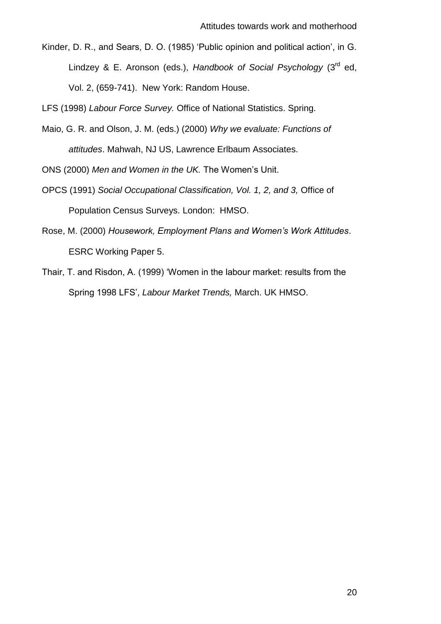Kinder, D. R., and Sears, D. O. (1985) 'Public opinion and political action', in G. Lindzey & E. Aronson (eds.), *Handbook of Social Psychology* (3<sup>rd</sup> ed, Vol. 2, (659-741). New York: Random House.

LFS (1998) *Labour Force Survey.* Office of National Statistics. Spring.

Maio, G. R. and Olson, J. M. (eds.) (2000) *Why we evaluate: Functions of attitudes*. Mahwah, NJ US, Lawrence Erlbaum Associates.

ONS (2000) *Men and Women in the UK.* The Women's Unit.

- OPCS (1991) *Social Occupational Classification, Vol. 1, 2, and 3,* Office of Population Census Surveys. London: HMSO.
- Rose, M. (2000) *Housework, Employment Plans and Women's Work Attitudes*. ESRC Working Paper 5.
- Thair, T. and Risdon, A. (1999) 'Women in the labour market: results from the Spring 1998 LFS', *Labour Market Trends,* March. UK HMSO.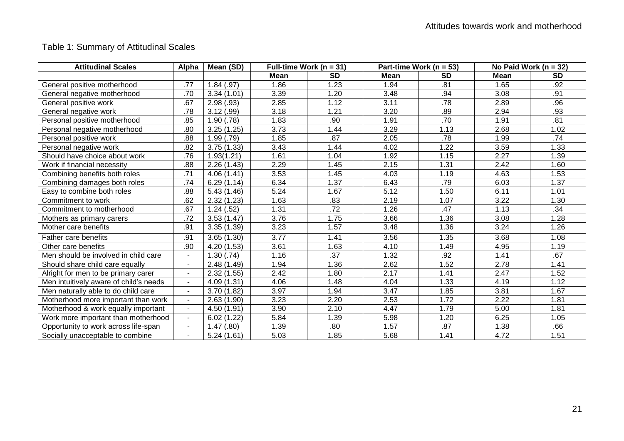## Table 1: Summary of Attitudinal Scales

| <b>Attitudinal Scales</b>              | <b>Alpha</b>             | Mean (SD)   | Full-time Work ( $n = 31$ ) |           | Part-time Work ( $n = 53$ ) |           | No Paid Work ( $n = 32$ ) |           |
|----------------------------------------|--------------------------|-------------|-----------------------------|-----------|-----------------------------|-----------|---------------------------|-----------|
|                                        |                          |             | <b>Mean</b>                 | <b>SD</b> | Mean                        | <b>SD</b> | Mean                      | <b>SD</b> |
| General positive motherhood            | .77                      | 1.84(.97)   | 1.86                        | 1.23      | 1.94                        | .81       | 1.65                      | .92       |
| General negative motherhood            | .70                      | 3.34(1.01)  | 3.39                        | 1.20      | 3.48                        | .94       | 3.08                      | .91       |
| General positive work                  | .67                      | 2.98(.93)   | 2.85                        | 1.12      | 3.11                        | .78       | 2.89                      | .96       |
| General negative work                  | .78                      | 3.12(.99)   | 3.18                        | 1.21      | 3.20                        | .89       | 2.94                      | .93       |
| Personal positive motherhood           | .85                      | 1.90(.78)   | 1.83                        | .90       | 1.91                        | .70       | 1.91                      | .81       |
| Personal negative motherhood           | .80                      | 3.25(1.25)  | 3.73                        | 1.44      | 3.29                        | 1.13      | 2.68                      | 1.02      |
| Personal positive work                 | .88                      | 1.99(.79)   | 1.85                        | .87       | 2.05                        | .78       | 1.99                      | .74       |
| Personal negative work                 | .82                      | 3.75(1.33)  | 3.43                        | 1.44      | 4.02                        | 1.22      | 3.59                      | 1.33      |
| Should have choice about work          | .76                      | 1.93(1.21)  | 1.61                        | 1.04      | 1.92                        | 1.15      | 2.27                      | 1.39      |
| Work if financial necessity            | .88                      | 2.26(1.43)  | 2.29                        | 1.45      | 2.15                        | 1.31      | 2.42                      | 1.60      |
| Combining benefits both roles          | .71                      | 4.06 (1.41) | 3.53                        | 1.45      | 4.03                        | 1.19      | 4.63                      | 1.53      |
| Combining damages both roles           | .74                      | 6.29(1.14)  | 6.34                        | 1.37      | 6.43                        | .79       | 6.03                      | 1.37      |
| Easy to combine both roles             | .88                      | 5.43(1.46)  | 5.24                        | 1.67      | 5.12                        | 1.50      | 6.11                      | 1.01      |
| Commitment to work                     | .62                      | 2.32(1.23)  | 1.63                        | .83       | 2.19                        | 1.07      | 3.22                      | 1.30      |
| Commitment to motherhood               | .67                      | 1.24(.52)   | 1.31                        | .72       | 1.26                        | .47       | 1.13                      | .34       |
| Mothers as primary carers              | .72                      | 3.53(1.47)  | 3.76                        | 1.75      | 3.66                        | 1.36      | 3.08                      | 1.28      |
| Mother care benefits                   | .91                      | 3.35(1.39)  | 3.23                        | 1.57      | 3.48                        | 1.36      | 3.24                      | 1.26      |
| <b>Father care benefits</b>            | .91                      | 3.65(1.30)  | 3.77                        | 1.41      | 3.56                        | 1.35      | 3.68                      | 1.08      |
| Other care benefits                    | .90                      | 4.20(1.53)  | 3.61                        | 1.63      | 4.10                        | 1.49      | 4.95                      | 1.19      |
| Men should be involved in child care   | $\blacksquare$           | 1.30(.74)   | 1.16                        | .37       | 1.32                        | .92       | 1.41                      | .67       |
| Should share child care equally        | $\overline{\phantom{a}}$ | 2.48 (1.49) | 1.94                        | 1.36      | 2.62                        | 1.52      | 2.78                      | 1.41      |
| Alright for men to be primary carer    | $\ddot{\phantom{a}}$     | 2.32(1.55)  | 2.42                        | 1.80      | 2.17                        | 1.41      | 2.47                      | 1.52      |
| Men intuitively aware of child's needs | $\blacksquare$           | 4.09 (1.31) | 4.06                        | 1.48      | 4.04                        | 1.33      | 4.19                      | 1.12      |
| Men naturally able to do child care    | $\blacksquare$           | 3.70(1.82)  | 3.97                        | 1.94      | 3.47                        | 1.85      | 3.81                      | 1.67      |
| Motherhood more important than work    | $\overline{\phantom{a}}$ | 2.63(1.90)  | 3.23                        | 2.20      | 2.53                        | 1.72      | 2.22                      | 1.81      |
| Motherhood & work equally important    | $\blacksquare$           | 4.50 (1.91) | 3.90                        | 2.10      | 4.47                        | 1.79      | 5.00                      | 1.81      |
| Work more important than motherhood    | $\blacksquare$           | 6.02(1.22)  | 5.84                        | 1.39      | 5.98                        | 1.20      | 6.25                      | 1.05      |
| Opportunity to work across life-span   | $\blacksquare$           | 1.47(.80)   | 1.39                        | .80       | 1.57                        | .87       | 1.38                      | .66       |
| Socially unacceptable to combine       | $\blacksquare$           | 5.24(1.61)  | 5.03                        | 1.85      | 5.68                        | 1.41      | 4.72                      | 1.51      |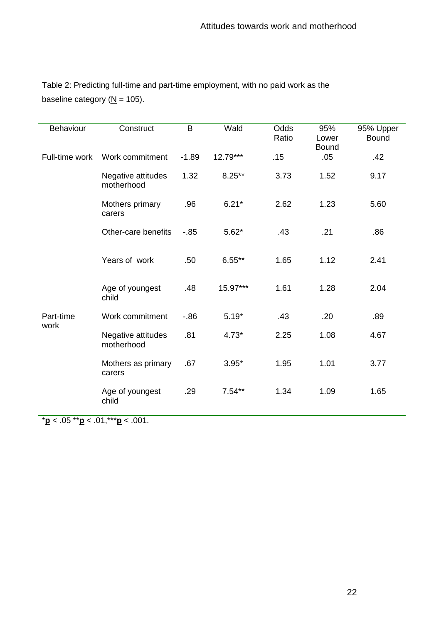| Table 2: Predicting full-time and part-time employment, with no paid work as the |  |
|----------------------------------------------------------------------------------|--|
| baseline category ( $N = 105$ ).                                                 |  |

| Behaviour         | Construct                        | B       | Wald      | Odds<br>Ratio | 95%<br>Lower<br><b>Bound</b> | 95% Upper<br><b>Bound</b> |
|-------------------|----------------------------------|---------|-----------|---------------|------------------------------|---------------------------|
| Full-time work    | Work commitment                  | $-1.89$ | 12.79***  | .15           | .05                          | .42                       |
|                   | Negative attitudes<br>motherhood | 1.32    | $8.25***$ | 3.73          | 1.52                         | 9.17                      |
|                   | Mothers primary<br>carers        | .96     | $6.21*$   | 2.62          | 1.23                         | 5.60                      |
|                   | Other-care benefits              | $-0.85$ | $5.62*$   | .43           | .21                          | .86                       |
|                   | Years of work                    | .50     | $6.55**$  | 1.65          | 1.12                         | 2.41                      |
|                   | Age of youngest<br>child         | .48     | 15.97***  | 1.61          | 1.28                         | 2.04                      |
| Part-time<br>work | Work commitment                  | $-86$   | $5.19*$   | .43           | .20                          | .89                       |
|                   | Negative attitudes<br>motherhood | .81     | $4.73*$   | 2.25          | 1.08                         | 4.67                      |
|                   | Mothers as primary<br>carers     | .67     | $3.95*$   | 1.95          | 1.01                         | 3.77                      |
|                   | Age of youngest<br>child         | .29     | $7.54**$  | 1.34          | 1.09                         | 1.65                      |

\***p** < .05 \*\***p** < .01,\*\*\***p** < .001.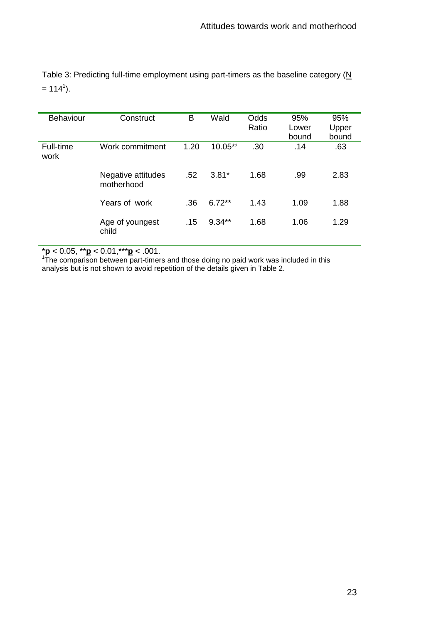| <b>Behaviour</b>  | Construct                        | в    | Wald     | Odds<br>Ratio | 95%<br>Lower<br>bound | 95%<br>Upper<br>bound |
|-------------------|----------------------------------|------|----------|---------------|-----------------------|-----------------------|
| Full-time<br>work | Work commitment                  | 1.20 | 10.05**  | .30           | .14                   | .63                   |
|                   | Negative attitudes<br>motherhood | .52  | $3.81*$  | 1.68          | .99                   | 2.83                  |
|                   | Years of work                    | .36  | $6.72**$ | 1.43          | 1.09                  | 1.88                  |
|                   | Age of youngest<br>child         | .15  | $9.34**$ | 1.68          | 1.06                  | 1.29                  |

Table 3: Predicting full-time employment using part-timers as the baseline category  $(N)$  $= 114<sup>1</sup>$ ).

\***p** < 0.05, \*\***p** < 0.01,\*\*\***p** < .001. 1 The comparison between part-timers and those doing no paid work was included in this analysis but is not shown to avoid repetition of the details given in Table 2.